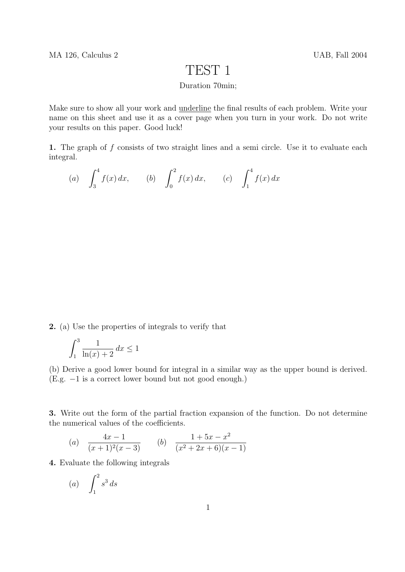## TEST 1

## Duration 70min;

Make sure to show all your work and underline the final results of each problem. Write your name on this sheet and use it as a cover page when you turn in your work. Do not write your results on this paper. Good luck!

1. The graph of f consists of two straight lines and a semi circle. Use it to evaluate each integral.

(a) 
$$
\int_3^4 f(x) dx
$$
, (b)  $\int_0^2 f(x) dx$ , (c)  $\int_1^4 f(x) dx$ 

2. (a) Use the properties of integrals to verify that

$$
\int_1^3 \frac{1}{\ln(x) + 2} \, dx \le 1
$$

(b) Derive a good lower bound for integral in a similar way as the upper bound is derived. (E.g. −1 is a correct lower bound but not good enough.)

3. Write out the form of the partial fraction expansion of the function. Do not determine the numerical values of the coefficients.

(a) 
$$
\frac{4x-1}{(x+1)^2(x-3)}
$$
 (b) 
$$
\frac{1+5x-x^2}{(x^2+2x+6)(x-1)}
$$

4. Evaluate the following integrals

$$
(a) \quad \int_1^2 s^3 \, ds
$$